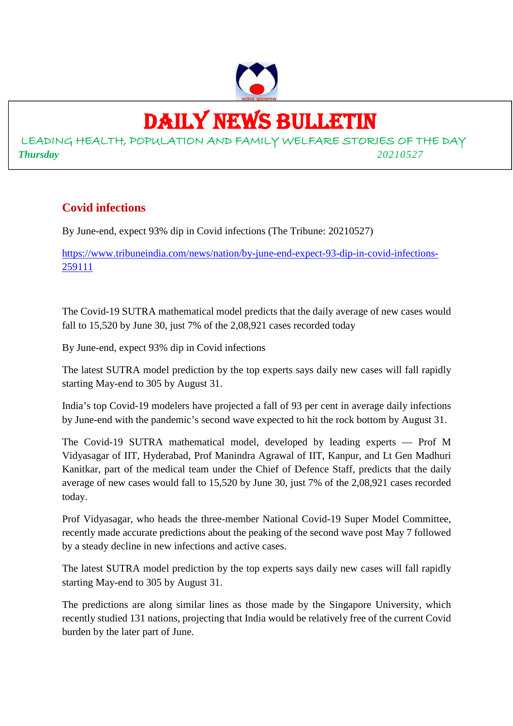

### DAILY NEWS BULLETIN

LEADING HEALTH, POPULATION AND FAMILY WELFARE STORIES OF THE DAY *Thursday 20210527*

#### **Covid infections**

By June-end, expect 93% dip in Covid infections (The Tribune: 20210527)

https://www.tribuneindia.com/news/nation/by-june-end-expect-93-dip-in-covid-infections-259111

The Covid-19 SUTRA mathematical model predicts that the daily average of new cases would fall to 15,520 by June 30, just 7% of the 2,08,921 cases recorded today

By June-end, expect 93% dip in Covid infections

The latest SUTRA model prediction by the top experts says daily new cases will fall rapidly starting May-end to 305 by August 31.

India's top Covid-19 modelers have projected a fall of 93 per cent in average daily infections by June-end with the pandemic's second wave expected to hit the rock bottom by August 31.

The Covid-19 SUTRA mathematical model, developed by leading experts — Prof M Vidyasagar of IIT, Hyderabad, Prof Manindra Agrawal of IIT, Kanpur, and Lt Gen Madhuri Kanitkar, part of the medical team under the Chief of Defence Staff, predicts that the daily average of new cases would fall to 15,520 by June 30, just 7% of the 2,08,921 cases recorded today.

Prof Vidyasagar, who heads the three-member National Covid-19 Super Model Committee, recently made accurate predictions about the peaking of the second wave post May 7 followed by a steady decline in new infections and active cases.

The latest SUTRA model prediction by the top experts says daily new cases will fall rapidly starting May-end to 305 by August 31.

The predictions are along similar lines as those made by the Singapore University, which recently studied 131 nations, projecting that India would be relatively free of the current Covid burden by the later part of June.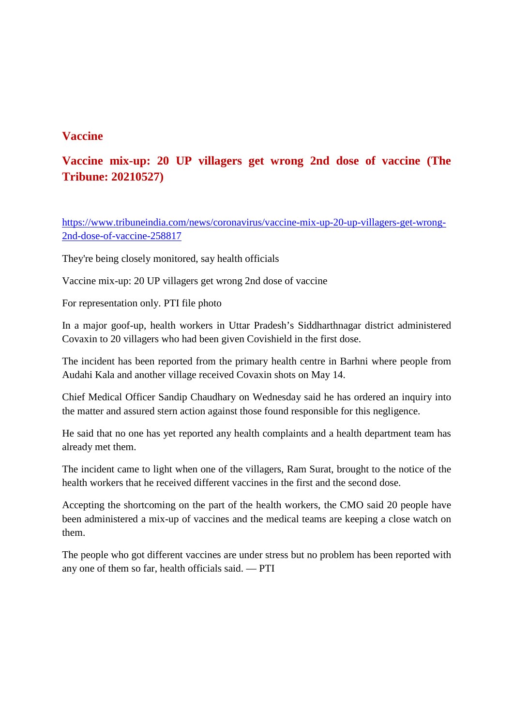#### **Vaccine**

#### **Vaccine mix-up: 20 UP villagers get wrong 2nd dose of vaccine (The Tribune: 20210527)**

https://www.tribuneindia.com/news/coronavirus/vaccine-mix-up-20-up-villagers-get-wrong-2nd-dose-of-vaccine-258817

They're being closely monitored, say health officials

Vaccine mix-up: 20 UP villagers get wrong 2nd dose of vaccine

For representation only. PTI file photo

In a major goof-up, health workers in Uttar Pradesh's Siddharthnagar district administered Covaxin to 20 villagers who had been given Covishield in the first dose.

The incident has been reported from the primary health centre in Barhni where people from Audahi Kala and another village received Covaxin shots on May 14.

Chief Medical Officer Sandip Chaudhary on Wednesday said he has ordered an inquiry into the matter and assured stern action against those found responsible for this negligence.

He said that no one has yet reported any health complaints and a health department team has already met them.

The incident came to light when one of the villagers, Ram Surat, brought to the notice of the health workers that he received different vaccines in the first and the second dose.

Accepting the shortcoming on the part of the health workers, the CMO said 20 people have been administered a mix-up of vaccines and the medical teams are keeping a close watch on them.

The people who got different vaccines are under stress but no problem has been reported with any one of them so far, health officials said. — PTI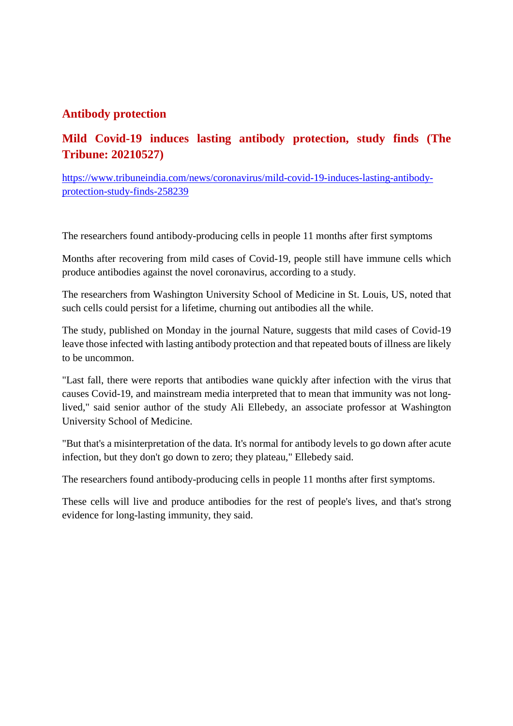#### **Antibody protection**

#### **Mild Covid-19 induces lasting antibody protection, study finds (The Tribune: 20210527)**

https://www.tribuneindia.com/news/coronavirus/mild-covid-19-induces-lasting-antibodyprotection-study-finds-258239

The researchers found antibody-producing cells in people 11 months after first symptoms

Months after recovering from mild cases of Covid-19, people still have immune cells which produce antibodies against the novel coronavirus, according to a study.

The researchers from Washington University School of Medicine in St. Louis, US, noted that such cells could persist for a lifetime, churning out antibodies all the while.

The study, published on Monday in the journal Nature, suggests that mild cases of Covid-19 leave those infected with lasting antibody protection and that repeated bouts of illness are likely to be uncommon.

"Last fall, there were reports that antibodies wane quickly after infection with the virus that causes Covid-19, and mainstream media interpreted that to mean that immunity was not longlived," said senior author of the study Ali Ellebedy, an associate professor at Washington University School of Medicine.

"But that's a misinterpretation of the data. It's normal for antibody levels to go down after acute infection, but they don't go down to zero; they plateau," Ellebedy said.

The researchers found antibody-producing cells in people 11 months after first symptoms.

These cells will live and produce antibodies for the rest of people's lives, and that's strong evidence for long-lasting immunity, they said.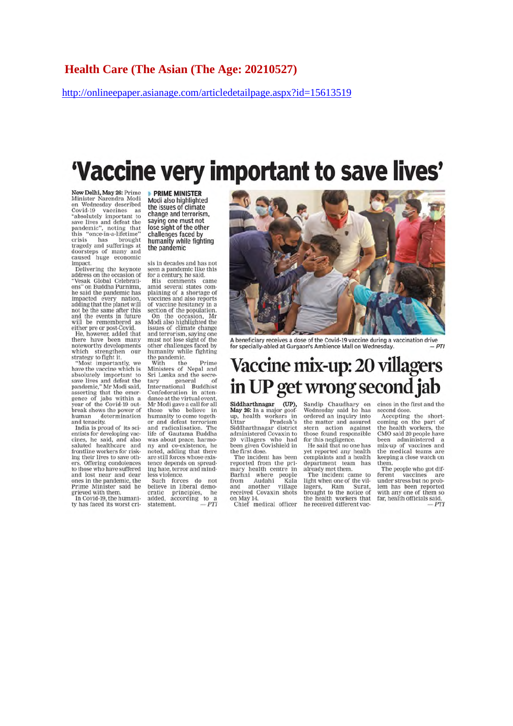http://onlineepaper.asianage.com/articledetailpage.aspx?id=15613519

## 'Vaccine very important to save lives'

New Delhi, May 26: Prime<br>Minister Narendra Modi<br>on Wednesday described Covid-19 vaccines as<br>"absolutely important to "absolutely important to<br>save lives and defeat the<br>pandemic", noting that<br>this "once-in-a-lifetime"<br>crisis has brought<br>tragedy and sufferings at<br>doorsteps of many and<br>caused huge economic

impact.<br>Delivering the keynote address on the occasion of<br>"Vesak Global Celebrations" on Buddha Purnima. he said the pandemic has impacted every nation. adding that the planet will<br>not be the same after this and the events in future<br>will be remembered as

will be remembered as<br>either pre or post-Covid.<br>He, however, added that<br>there have been many<br>noteworthy developments<br>which strengthen our

strategy to fight it.<br>"Most importantly, we have the vaccine which is<br>absolutely important to associately informate of<br>pandemic," Mr Modi said, asserting that the emergence of jabs within a<br>year of the Covid-19 outbreak shows the power of human determination<br>and tenacity.

India is proud of its scientists for developing vacenuss for averaging vac-<br>cines, he said, and also<br>saluted healthcare and<br>frontline workers for risk-<br>ing their lives to save others. Offering condolences to those who have suffered<br>and lost near and dear ones in the pandemic, the<br>Prime Minister said he grieved with them.

In Covid-19, the humanitv has faced its worst cri-

**PRIME MINISTER** Modi also highlighted the issues of climate change and terrorism. saying one must not lose sight of the other challenges faced by humanity while fighting the pandemic

sis in decades and has not<br>seen a pandemic like this

Seen a pandemic like this<br>for a century, he said.<br>This comments came<br>amid several states com-<br>plaining of a shortage of<br>vaccines and also reports of vaccine hesitancy in a<br>section of the population. On the occasion, Mr<br>Modi also highlighted the issues of climate change and terrorism, saying one<br>must not lose sight of the other challenges faced by<br>humanity while fighting

humanity white righting<br>the pandemic.<br>With the Prime<br>Ministers of Nepal and<br>Sri Lanka and the secre-Series and the secretary<br>dary general of<br>International Buddhist<br>Confederation in a ten-<br>dance at the virtual event,<br>Mr Modi gave a call for all<br>those who believe in<br>the munanity to come together<br>and defeat terrorism and radicalisation. The<br>life of Gautama Buddha the or Gautama Buduatia<br>was about peace, harmo-<br>ny and co-existence, he<br>noted, adding that there<br>are still forces whose existence depends on spreading hate, terror and mind-<br>less violence.

less violence.<br>
Such forces do not<br>
believe in liberal demo-<br>
cratic principles, he<br>
added, according to a<br>  $PTT$ 



A beneficiary receives a dose of the Covid-19 vaccine during a vaccination drive<br>for specially-abled at Gurgaon's Ambience Mall on Wednesday.  $- P$ 

### Vaccine mix-up: 20 villagers in UP get wrong second jab

Siddharthnagar (UP),<br>May 26: In a major goof-<br>up, health workers in<br>Uttar Pradesh's Uttar Pradesh's<br>Siddharthnagar district<br>administered Covaxin to<br>20 villagers who had<br>been given Covishield in the first dose.

The incident has been reported from the pri-<br>mary health centre in<br>Barhni where people<br>from Audahi Kala<br>and another village received Covaxin shots<br>on May 14.<br>Chief medical officer

Sandip Chaudhary on Wednesday said he has<br>ordered an inquiry into the matter and assured stern action against<br>those found responsible for this negligence.<br>He said that no one has

yet reported any health<br>complaints and a health department team has

department team has<br>aready met them.<br>The incident came to<br>light when one of the vil-<br>lagers, Ram Surat,<br>brought to the notice of<br>the health workers that<br>he received different vac-

cines in the first and the second dose.

second dose.<br>Accepting the short-<br>coming on the part of<br>the health workers, the<br>CMO said 20 people have been administered a<br>mix-up of vaccines and<br>the medical teams are keeping a close watch on them.

The people who got dif-Frent vaccines are<br>under stress but no prob-<br>lem has been reported<br>with any one of them so<br>far, health officials said.  $-PTI$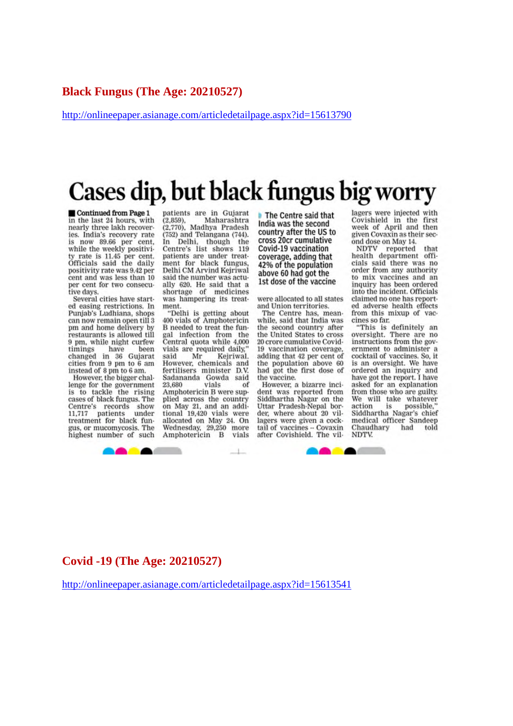#### **Black Fungus (The Age: 20210527)**

http://onlineepaper.asianage.com/articledetailpage.aspx?id=15613790

## Cases dip, but black fungus big worry

Continued from Page 1 in the last 24 hours, with nearly three lakh recoveries. India's recovery rate now 89.66 per cent. while the weekly positivity rate is 11.45 per cent.<br>Officials said the daily positivity rate was 9.42 per cent and was less than 10 per cent for two consecutive days.

Several cities have started easing restrictions. In<br>Punjab's Ludhiana, shops can now remain open till 3 pm and home delivery by restaurants is allowed till 9 pm, while night curfew timings have been changed in 36 Gujarat cities from 9 pm to 6 am instead of 8 pm to 6 am.

However, the bigger challenge for the government is to tackle the rising cases of black fungus. The Centre's records show patients under 11,717 treatment for black fungus, or mucomycosis. The highest number of such

patients are in Gujarat  $(2,859)$ , Maharashtra (2,770), Madhya Pradesh (752) and Telangana (744). In Delhi, though the<br>Centre's list shows 119 patients are under treatment for black fungus, Delhi CM Arvind Kejriwal said the number was actually 620. He said that a shortage of medicines was hampering its treatment

"Delhi is getting about<br>400 vials of Amphotericin B needed to treat the fungal infection from the<br>Central quota while 4,000 vials are required daily," Mr Kejriwal. said However, chemicals and<br>fertilisers minister D.V. Sadananda Gowda said 23.680 vials of Amphotericin B were supplied across the country on May 21, and an additional 19,420 vials were allocated on May 24. On Wednesday, 29,250 more Amphotericin B vials

 $\mathbf{1}$ 

The Centre said that India was the second country after the US to cross 20cr cumulative Covid-19 vaccination coverage, adding that 42% of the population above 60 had got the 1st dose of the vaccine

were allocated to all states and Union territories.

The Centre has, meanwhile, said that India was the second country after the United States to cross 20 crore cumulative Covid-19 vaccination coverage. adding that 42 per cent of the population above 60 had got the first dose of the vaccine.

However, a bizarre incident was reported from Siddhartha Nagar on the Uttar Pradesh-Nepal border, where about 20 villagers were given a cocktail of vaccines -- Covaxin after Covishield. The vil-

**BAAA** 

lagers were injected with Covishield in the first week of April and then given Covaxin as their second dose on May 14.

NDTV reported that<br>health department offithat cials said there was no order from any authority to mix vaccines and an inquiry has been ordered into the incident. Officials claimed no one has reported adverse health effects from this mixup of vaccines so far.

"This is definitely an<br>oversight. There are no instructions from the government to administer a cocktail of vaccines. So, it is an oversight. We have ordered an inquiry and have got the report. I have asked for an explanation from those who are guilty. We will take whatever action action is possible,"<br>Siddhartha Nagar's chief medical officer Sandeep Chaudhary had told NDTV.

#### **Covid -19 (The Age: 20210527)**

**BOAT** 

http://onlineepaper.asianage.com/articledetailpage.aspx?id=15613541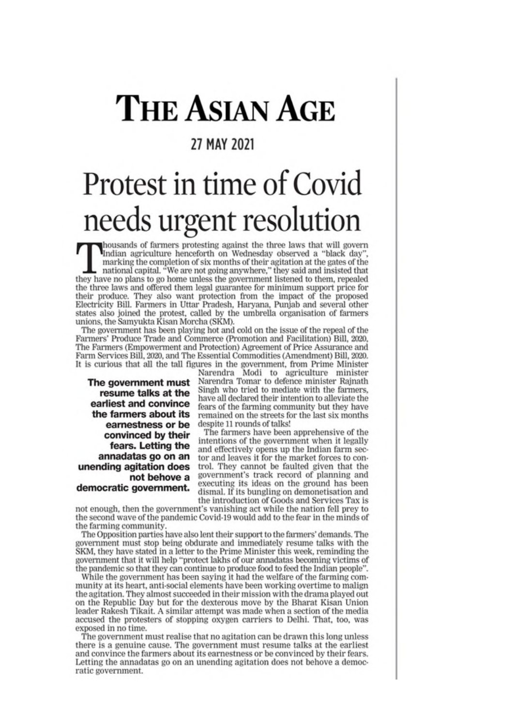# **THE ASIAN AGE**

#### 27 MAY 2021

# Protest in time of Covid needs urgent resolution

housands of farmers protesting against the three laws that will govern<br>Indian agriculture henceforth on Wednesday observed a "black day", marking the completion of six months of their agitation at the gates of the national capital. "We are not going anywhere," they said and insisted that they have no plans to go home unless the government listened to them, r the three laws and offered them legal guarantee for minimum support price for their produce. They also want protection from the impact of the proposed Electricity Bill. Farmers in Uttar Pradesh, Haryana, Punjab and several other states also joined the protest, called by the umbrella organisation of farmers unions, the Samyukta Kisan Morcha (SKM).

The government has been playing hot and cold on the issue of the repeal of the Farmers' Produce Trade and Commerce (Promotion and Facilitation) Bill, 2020, The Farmers (Empowerment and Protection) Agreement of Price Assurance and Farm Services Bill, 2020, and The Essential Commodities (Amendment) Bill, 2020. It is curious that all the tall figures in the government, from Prime Minister

The government must resume talks at the earliest and convince the farmers about its earnestness or be convinced by their fears. Letting the annadatas go on an unending agitation does not behove a democratic government.

Narendra Modi to agriculture minister<br>Narendra Tomar to defence minister Rajnath Singh who tried to mediate with the farmers, have all declared their intention to alleviate the fears of the farming community but they have remained on the streets for the last six months despite 11 rounds of talks!

The farmers have been apprehensive of the intentions of the government when it legally and effectively opens up the Indian farm sector and leaves it for the market forces to control. They cannot be faulted given that the government's track record of planning and executing its ideas on the ground has been dismal. If its bungling on demonetisation and the introduction of Goods and Services Tax is

not enough, then the government's vanishing act while the nation fell prev to the second wave of the pandemic Covid-19 would add to the fear in the minds of the farming community.

The Opposition parties have also lent their support to the farmers' demands. The government must stop being obdurate and immediately resume talks with the SKM, they have stated in a letter to the Prime Minister this week, reminding the government that it will help "protect lakhs of our annadatas becoming victims of the pandemic so that they can continue to produce food to feed the Indian people".

While the government has been saying it had the welfare of the farming community at its heart, anti-social elements have been working overtime to malign the agitation. They almost succeeded in their mission with the drama played out on the Republic Day but for the dexterous move by the Bharat Kisan Union leader Rakesh Tikait. A similar attempt was made when a section of the media accused the protesters of stopping oxygen carriers to Delhi. That, too, was exposed in no time.

The government must realise that no agitation can be drawn this long unless there is a genuine cause. The government must resume talks at the earliest and convince the farmers about its earnestness or be convinced by their fears. Letting the annadatas go on an unending agitation does not behove a democratic government.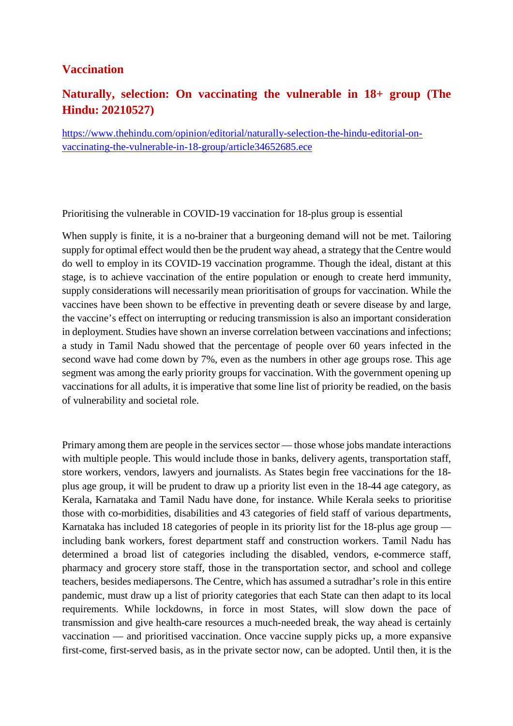#### **Vaccination**

#### **Naturally, selection: On vaccinating the vulnerable in 18+ group (The Hindu: 20210527)**

https://www.thehindu.com/opinion/editorial/naturally-selection-the-hindu-editorial-onvaccinating-the-vulnerable-in-18-group/article34652685.ece

Prioritising the vulnerable in COVID-19 vaccination for 18-plus group is essential

When supply is finite, it is a no-brainer that a burgeoning demand will not be met. Tailoring supply for optimal effect would then be the prudent way ahead, a strategy that the Centre would do well to employ in its COVID-19 vaccination programme. Though the ideal, distant at this stage, is to achieve vaccination of the entire population or enough to create herd immunity, supply considerations will necessarily mean prioritisation of groups for vaccination. While the vaccines have been shown to be effective in preventing death or severe disease by and large, the vaccine's effect on interrupting or reducing transmission is also an important consideration in deployment. Studies have shown an inverse correlation between vaccinations and infections; a study in Tamil Nadu showed that the percentage of people over 60 years infected in the second wave had come down by 7%, even as the numbers in other age groups rose. This age segment was among the early priority groups for vaccination. With the government opening up vaccinations for all adults, it is imperative that some line list of priority be readied, on the basis of vulnerability and societal role.

Primary among them are people in the services sector — those whose jobs mandate interactions with multiple people. This would include those in banks, delivery agents, transportation staff, store workers, vendors, lawyers and journalists. As States begin free vaccinations for the 18 plus age group, it will be prudent to draw up a priority list even in the 18-44 age category, as Kerala, Karnataka and Tamil Nadu have done, for instance. While Kerala seeks to prioritise those with co-morbidities, disabilities and 43 categories of field staff of various departments, Karnataka has included 18 categories of people in its priority list for the 18-plus age group including bank workers, forest department staff and construction workers. Tamil Nadu has determined a broad list of categories including the disabled, vendors, e-commerce staff, pharmacy and grocery store staff, those in the transportation sector, and school and college teachers, besides mediapersons. The Centre, which has assumed a sutradhar's role in this entire pandemic, must draw up a list of priority categories that each State can then adapt to its local requirements. While lockdowns, in force in most States, will slow down the pace of transmission and give health-care resources a much-needed break, the way ahead is certainly vaccination — and prioritised vaccination. Once vaccine supply picks up, a more expansive first-come, first-served basis, as in the private sector now, can be adopted. Until then, it is the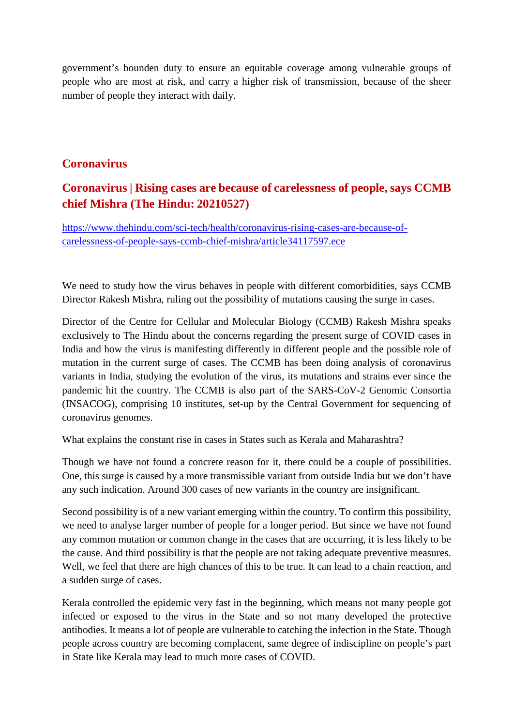government's bounden duty to ensure an equitable coverage among vulnerable groups of people who are most at risk, and carry a higher risk of transmission, because of the sheer number of people they interact with daily.

#### **Coronavirus**

#### **Coronavirus | Rising cases are because of carelessness of people, says CCMB chief Mishra (The Hindu: 20210527)**

https://www.thehindu.com/sci-tech/health/coronavirus-rising-cases-are-because-ofcarelessness-of-people-says-ccmb-chief-mishra/article34117597.ece

We need to study how the virus behaves in people with different comorbidities, says CCMB Director Rakesh Mishra, ruling out the possibility of mutations causing the surge in cases.

Director of the Centre for Cellular and Molecular Biology (CCMB) Rakesh Mishra speaks exclusively to The Hindu about the concerns regarding the present surge of COVID cases in India and how the virus is manifesting differently in different people and the possible role of mutation in the current surge of cases. The CCMB has been doing analysis of coronavirus variants in India, studying the evolution of the virus, its mutations and strains ever since the pandemic hit the country. The CCMB is also part of the SARS-CoV-2 Genomic Consortia (INSACOG), comprising 10 institutes, set-up by the Central Government for sequencing of coronavirus genomes.

What explains the constant rise in cases in States such as Kerala and Maharashtra?

Though we have not found a concrete reason for it, there could be a couple of possibilities. One, this surge is caused by a more transmissible variant from outside India but we don't have any such indication. Around 300 cases of new variants in the country are insignificant.

Second possibility is of a new variant emerging within the country. To confirm this possibility, we need to analyse larger number of people for a longer period. But since we have not found any common mutation or common change in the cases that are occurring, it is less likely to be the cause. And third possibility is that the people are not taking adequate preventive measures. Well, we feel that there are high chances of this to be true. It can lead to a chain reaction, and a sudden surge of cases.

Kerala controlled the epidemic very fast in the beginning, which means not many people got infected or exposed to the virus in the State and so not many developed the protective antibodies. It means a lot of people are vulnerable to catching the infection in the State. Though people across country are becoming complacent, same degree of indiscipline on people's part in State like Kerala may lead to much more cases of COVID.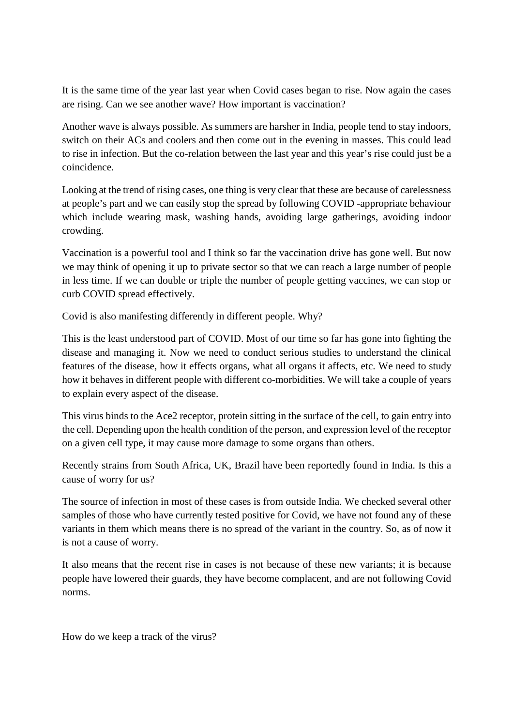It is the same time of the year last year when Covid cases began to rise. Now again the cases are rising. Can we see another wave? How important is vaccination?

Another wave is always possible. As summers are harsher in India, people tend to stay indoors, switch on their ACs and coolers and then come out in the evening in masses. This could lead to rise in infection. But the co-relation between the last year and this year's rise could just be a coincidence.

Looking at the trend of rising cases, one thing is very clear that these are because of carelessness at people's part and we can easily stop the spread by following COVID -appropriate behaviour which include wearing mask, washing hands, avoiding large gatherings, avoiding indoor crowding.

Vaccination is a powerful tool and I think so far the vaccination drive has gone well. But now we may think of opening it up to private sector so that we can reach a large number of people in less time. If we can double or triple the number of people getting vaccines, we can stop or curb COVID spread effectively.

Covid is also manifesting differently in different people. Why?

This is the least understood part of COVID. Most of our time so far has gone into fighting the disease and managing it. Now we need to conduct serious studies to understand the clinical features of the disease, how it effects organs, what all organs it affects, etc. We need to study how it behaves in different people with different co-morbidities. We will take a couple of years to explain every aspect of the disease.

This virus binds to the Ace2 receptor, protein sitting in the surface of the cell, to gain entry into the cell. Depending upon the health condition of the person, and expression level of the receptor on a given cell type, it may cause more damage to some organs than others.

Recently strains from South Africa, UK, Brazil have been reportedly found in India. Is this a cause of worry for us?

The source of infection in most of these cases is from outside India. We checked several other samples of those who have currently tested positive for Covid, we have not found any of these variants in them which means there is no spread of the variant in the country. So, as of now it is not a cause of worry.

It also means that the recent rise in cases is not because of these new variants; it is because people have lowered their guards, they have become complacent, and are not following Covid norms.

How do we keep a track of the virus?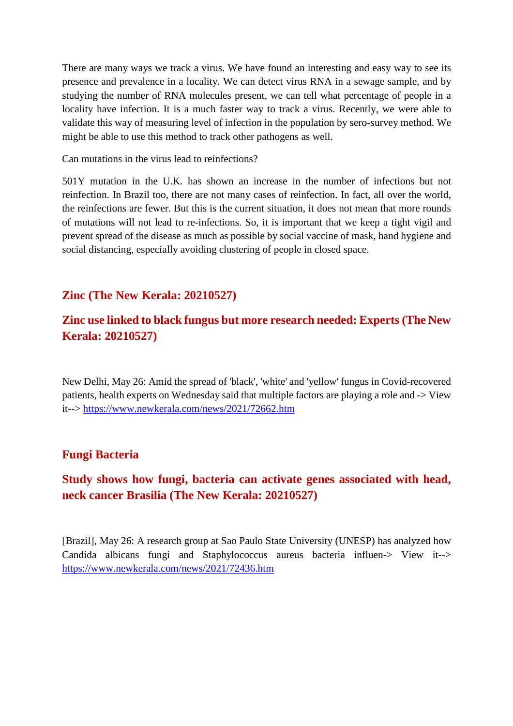There are many ways we track a virus. We have found an interesting and easy way to see its presence and prevalence in a locality. We can detect virus RNA in a sewage sample, and by studying the number of RNA molecules present, we can tell what percentage of people in a locality have infection. It is a much faster way to track a virus. Recently, we were able to validate this way of measuring level of infection in the population by sero-survey method. We might be able to use this method to track other pathogens as well.

Can mutations in the virus lead to reinfections?

501Y mutation in the U.K. has shown an increase in the number of infections but not reinfection. In Brazil too, there are not many cases of reinfection. In fact, all over the world, the reinfections are fewer. But this is the current situation, it does not mean that more rounds of mutations will not lead to re-infections. So, it is important that we keep a tight vigil and prevent spread of the disease as much as possible by social vaccine of mask, hand hygiene and social distancing, especially avoiding clustering of people in closed space.

#### **Zinc (The New Kerala: 20210527)**

#### **Zinc use linked to black fungus but more research needed: Experts (The New Kerala: 20210527)**

New Delhi, May 26: Amid the spread of 'black', 'white' and 'yellow' fungus in Covid-recovered patients, health experts on Wednesday said that multiple factors are playing a role and -> View it--> https://www.newkerala.com/news/2021/72662.htm

#### **Fungi Bacteria**

#### **Study shows how fungi, bacteria can activate genes associated with head, neck cancer Brasilia (The New Kerala: 20210527)**

[Brazil], May 26: A research group at Sao Paulo State University (UNESP) has analyzed how Candida albicans fungi and Staphylococcus aureus bacteria influen-> View it--> https://www.newkerala.com/news/2021/72436.htm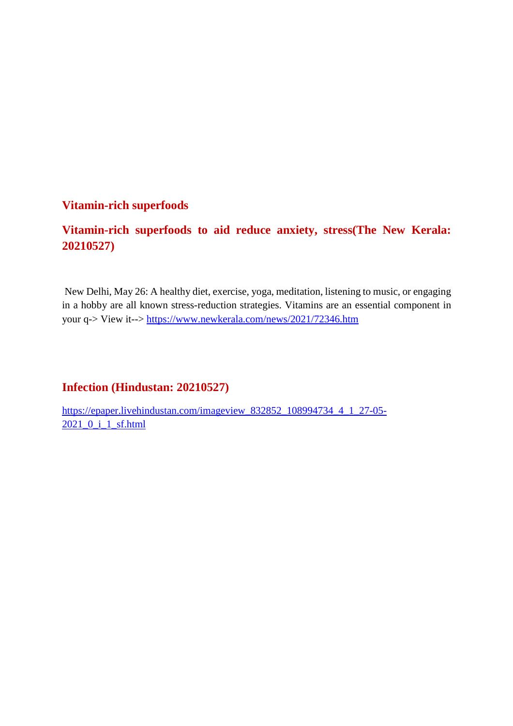#### **Vitamin-rich superfoods**

#### **Vitamin-rich superfoods to aid reduce anxiety, stress(The New Kerala: 20210527)**

New Delhi, May 26: A healthy diet, exercise, yoga, meditation, listening to music, or engaging in a hobby are all known stress-reduction strategies. Vitamins are an essential component in your q-> View it--> https://www.newkerala.com/news/2021/72346.htm

#### **Infection (Hindustan: 20210527)**

https://epaper.livehindustan.com/imageview\_832852\_108994734\_4\_1\_27-05- 2021\_0\_i\_1\_sf.html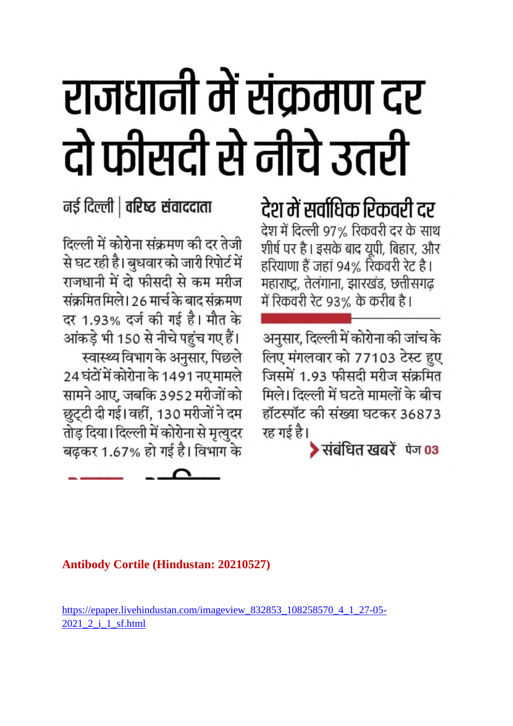# राजधानी में संक्रमण दर दो फीसदी से नीचे उतरी

नई दिल्ली | वरिष्ठ संवाददाता

दिल्ली में कोरोना संक्रमण की दर तेजी से घट रही है। बुधवार को जारी रिपोर्ट में राजधानी में दो फीसदी से कम मरीज संक्रमित मिले। 26 मार्च के बाद संक्रमण दर 1.93% दर्ज की गई है। मौत के आंकड़े भी 150 से नीचे पहुंच गए हैं। स्वास्थ्य विभाग के अनुसार, पिछले 24 घंटों में कोरोना के 1491 नए मामले सामने आए, जबकि 3952 मरीजों को छुट्टी दी गई। वहीं, 130 मरीजों ने दम तोड़ दिया। दिल्ली में कोरोना से मृत्युदर बढ़कर 1.67% हो गई है। विभाग के

देश में सर्वाधिक रिकवरी दर देश में दिल्ली 97% रिकवरी दर के साथ शीर्ष पर है। इसके बाद यूपी, बिहार, और हरियाणा हैं जहां 94% रिकवरी रेट है। महाराष्ट्र, तेलंगाना, झारखंड, छत्तीसगढ़ में रिकवरी रेट 93% के करीब है।

अनुसार, दिल्ली में कोरोना की जांच के लिए मंगलवार को 77103 टेस्ट हुए जिसमें 1.93 फीसदी मरीज संक्रमित मिले। दिल्ली में घटते मामलों के बीच हॉटस्पॉट की संख्या घटकर 36873 रह गई है।

▶संबंधित खबरें पेज 03

#### **Antibody Cortile (Hindustan: 20210527)**

https://epaper.livehindustan.com/imageview 832853 108258570 4 1 27-05-2021 2 i 1 sf.html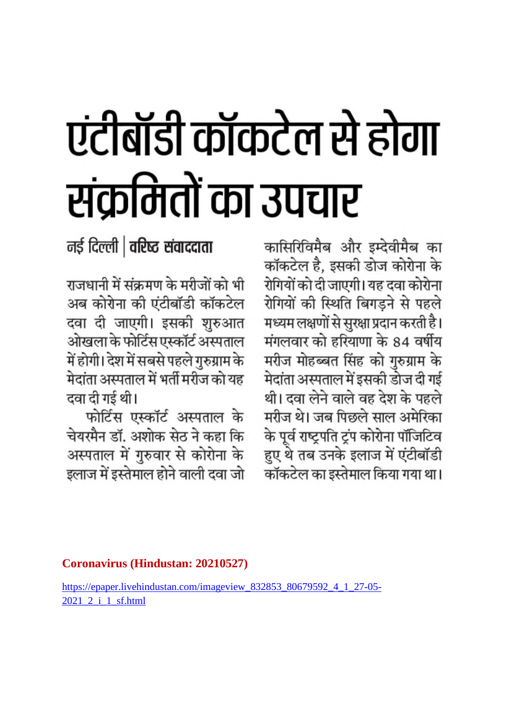# एंटीबॉडी कॉकटेल से होगा संक्रमितों का उपचार

नई दिल्ली | वरिष्ठ संवाददाता

राजधानी में संक्रमण के मरीजों को भी अब कोरोना की एंटीबॉडी कॉकटेल दवा दी जाएगी। इसकी शुरुआत ओखला के फोर्टिस एस्कॉर्ट अस्पताल में होगी। देश में सबसे पहले गुरुग्राम के मेदांता अस्पताल में भर्ती मरीज को यह दवा दी गई थी।

फोर्टिस एस्कॉर्ट अस्पताल के चेयरमैन डॉ. अशोक सेठ ने कहा कि अस्पताल में गुरुवार से कोरोना के इलाज में इस्तेमाल होने वाली दवा जो कासिरिविमैब और इम्देवीमैब का कॉकटेल है, इसकी डोज कोरोना के रोगियों को दी जाएगी। यह दवा कोरोना रोगियों की स्थिति बिगड़ने से पहले मध्यम लक्षणों से सुरक्षा प्रदान करती है। मंगलवार को हरियाणा के 84 वर्षीय मरीज मोहब्बत सिंह को गुरुग्राम के मेदांता अस्पताल में इसकी डोज दी गई थी। दवा लेने वाले वह देश के पहले मरीज थे। जब पिछले साल अमेरिका के पूर्व राष्ट्रपति ट्रंप कोरोना पॉजिटिव हुए थे तब उनके इलाज में एंटीबॉडी कॉकटेल का इस्तेमाल किया गया था।

#### **Coronavirus (Hindustan: 20210527)**

https://epaper.livehindustan.com/imageview\_832853\_80679592\_4\_1\_27-05- 2021\_2\_i\_1\_sf.html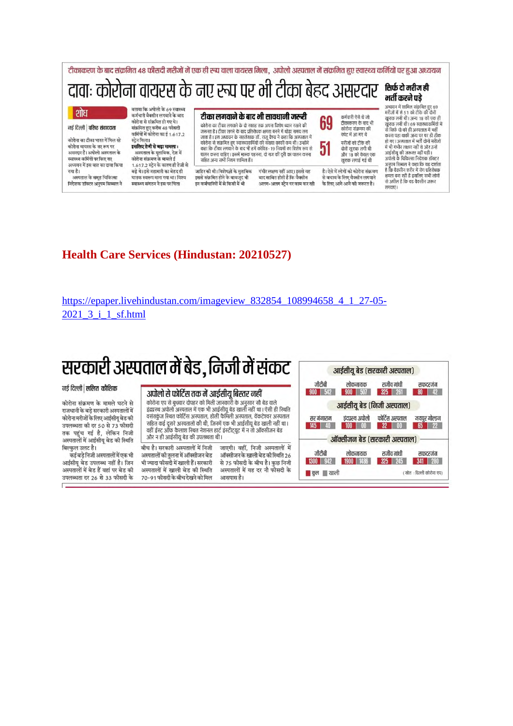

#### **Health Care Services (Hindustan: 20210527)**

https://epaper.livehindustan.com/imageview 832854 108994658 4 1 27-05-2021 3 i 1 sf.html

### सरकारी अस्पताल में बेड, निजी में संकट

#### नई दिल्ली | ललित कौशिक

कोरोना संक्रमण के मामले घटने से राजधानी के बड़े सरकारी अस्पतालों में कोरोना मरीजों के लिए आईसीयू बेड की उपलब्धता की दर 50 से 73 फीसदी तक पहुंच गई है, लेकिन निजी अस्पतालों में आईसीयू बेड की स्थिति बिल्कुल उलट है।

कई बड़े निजी अस्पतालों में एक भी आईसीयू बेड उपलब्ध नहीं है। जिन अस्पतालों में बेड हैं वहां पर बेड की उपलब्धता दर 26 से 33 फीसदी के

#### अपोलो से फोर्टिस तक में आईसीय बिस्तर नहीं

कोरोना एप से बुधवार दोपहर को मिली जानकारी के अनुसार सौ बेड वाले इंद्रप्रस्थ अपोलो अस्पताल में एक भी आईसीयू बेड खाली नहीं था। ऐसी ही स्थिति वसंतकूंज स्थित फोर्टिस अस्पताल, होली फैमिली अस्पताल, वेंकटेश्वर अस्पताल सहित कई दूसरे अस्पतालों की थी, जिनमें एक भी आईसीयू बेड खाली नहीं था। वहीं ईस्ट आँफ कैलाश स्थित नेशनल हार्ट इंस्टीट्यूट में न तो ऑक्सीजन बेड और न ही आईसीयू बेड की उपलब्धता थी।

बीच है। सरकारी अस्पतालों में निजी जाएगी। वहीं, निजी अस्पतालों में अस्पतालों की तुलना में ऑक्सीजन बेड ऑक्सीजन के खाली बेड की स्थिति 26 से 75 फीसदी के बीच है। कुछ निजी भी ज्यादा फीसदी में खाली हैं। सरकारी अस्पतालों में खाली बेड की स्थिति अस्पतालों में यह दर नौ फौसदी के 70-91 फीसदी के बीच देखने को मिल आसपास है।

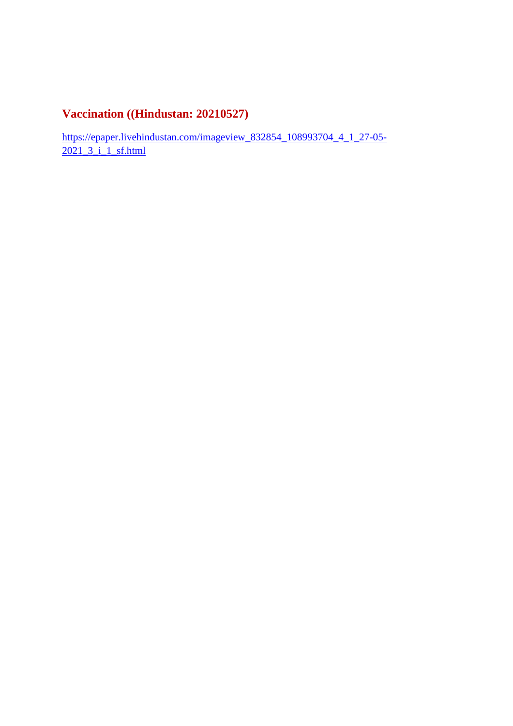#### **Vaccination ((Hindustan: 20210527)**

https://epaper.livehindustan.com/imageview\_832854\_108993704\_4\_1\_27-05- 2021\_3\_i\_1\_sf.html